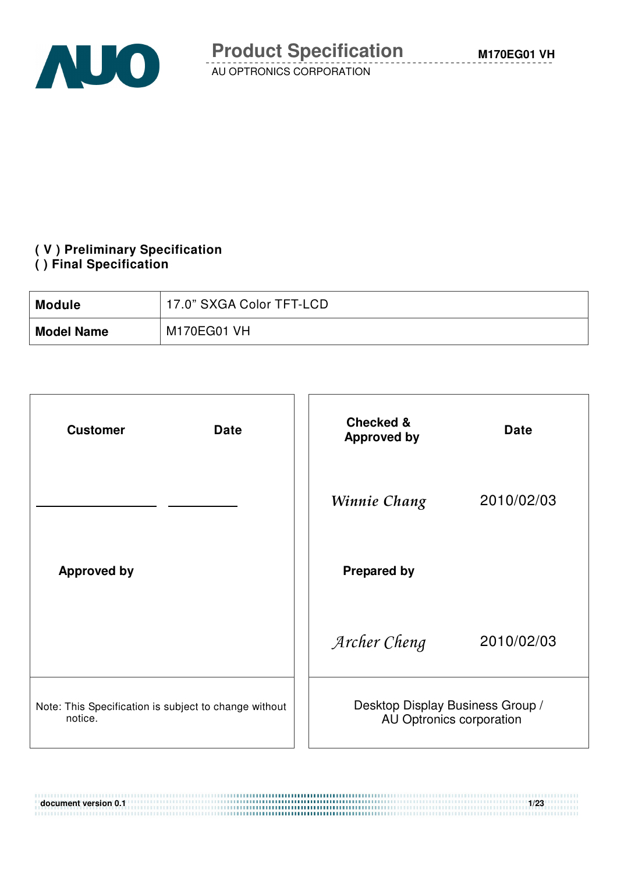

#### **( V ) Preliminary Specification ( ) Final Specification**

| <b>Module</b>     | 17.0" SXGA Color TFT-LCD |
|-------------------|--------------------------|
| <b>Model Name</b> | M170EG01 VH              |

| <b>Date</b><br><b>Customer</b>                                   | <b>Checked &amp;</b><br><b>Approved by</b>                   | <b>Date</b> |
|------------------------------------------------------------------|--------------------------------------------------------------|-------------|
|                                                                  | Winnie Chang                                                 | 2010/02/03  |
| <b>Approved by</b>                                               | <b>Prepared by</b>                                           |             |
|                                                                  | Archer Cheng                                                 | 2010/02/03  |
| Note: This Specification is subject to change without<br>notice. | Desktop Display Business Group /<br>AU Optronics corporation |             |

**document version 0.1 1/23**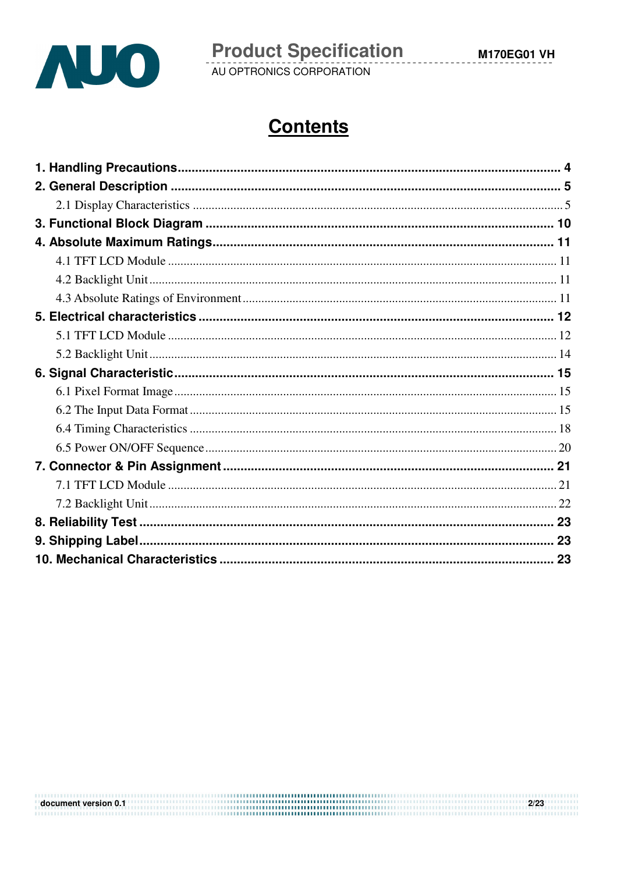

 $2/23$ 

# **Contents**

document version 0.1 **and the contract of the contract of the contract of the contract of the contract of the contract of the contract of the contract of the contract of the contract of the contract of the contract of the**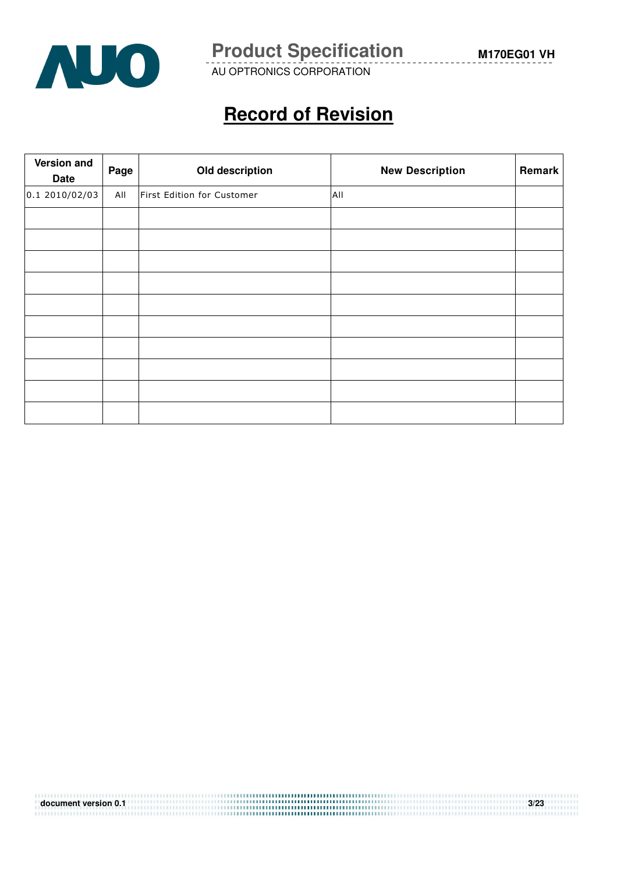

**Product Specification** M170EG01 VH

AU OPTRONICS CORPORATION

# **Record of Revision**

| Version and<br><b>Date</b> | Page | Old description            | <b>New Description</b> | Remark |
|----------------------------|------|----------------------------|------------------------|--------|
| 0.1 2010/02/03             | All  | First Edition for Customer | All                    |        |
|                            |      |                            |                        |        |
|                            |      |                            |                        |        |
|                            |      |                            |                        |        |
|                            |      |                            |                        |        |
|                            |      |                            |                        |        |
|                            |      |                            |                        |        |
|                            |      |                            |                        |        |
|                            |      |                            |                        |        |
|                            |      |                            |                        |        |
|                            |      |                            |                        |        |

| document version 0.1 | 3/23 |
|----------------------|------|
|                      |      |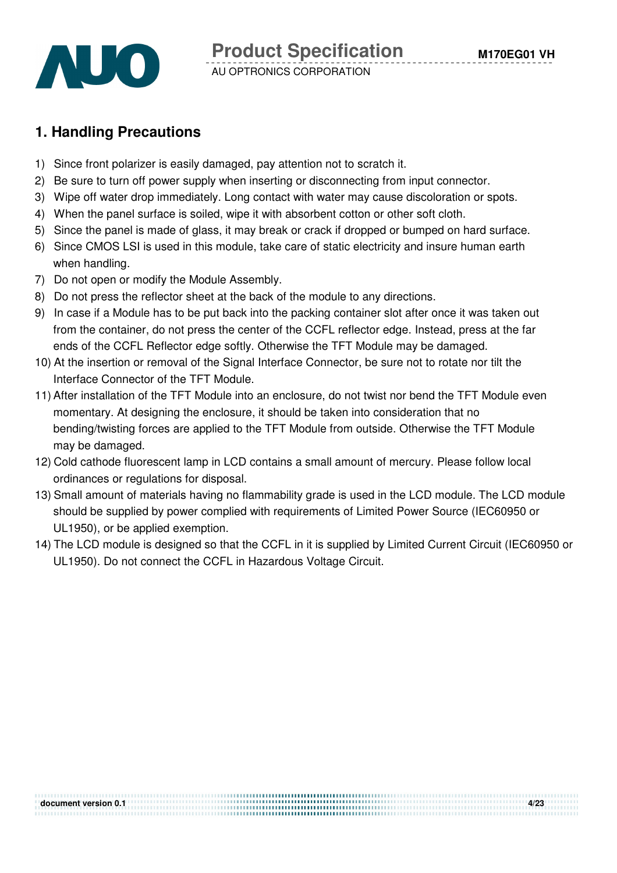

# **1. Handling Precautions**

- 1) Since front polarizer is easily damaged, pay attention not to scratch it.
- 2) Be sure to turn off power supply when inserting or disconnecting from input connector.
- 3) Wipe off water drop immediately. Long contact with water may cause discoloration or spots.
- 4) When the panel surface is soiled, wipe it with absorbent cotton or other soft cloth.
- 5) Since the panel is made of glass, it may break or crack if dropped or bumped on hard surface.
- 6) Since CMOS LSI is used in this module, take care of static electricity and insure human earth when handling.
- 7) Do not open or modify the Module Assembly.
- 8) Do not press the reflector sheet at the back of the module to any directions.
- 9) In case if a Module has to be put back into the packing container slot after once it was taken out from the container, do not press the center of the CCFL reflector edge. Instead, press at the far ends of the CCFL Reflector edge softly. Otherwise the TFT Module may be damaged.
- 10) At the insertion or removal of the Signal Interface Connector, be sure not to rotate nor tilt the Interface Connector of the TFT Module.
- 11) After installation of the TFT Module into an enclosure, do not twist nor bend the TFT Module even momentary. At designing the enclosure, it should be taken into consideration that no bending/twisting forces are applied to the TFT Module from outside. Otherwise the TFT Module may be damaged.
- 12) Cold cathode fluorescent lamp in LCD contains a small amount of mercury. Please follow local ordinances or regulations for disposal.
- 13) Small amount of materials having no flammability grade is used in the LCD module. The LCD module should be supplied by power complied with requirements of Limited Power Source (IEC60950 or UL1950), or be applied exemption.
- 14) The LCD module is designed so that the CCFL in it is supplied by Limited Current Circuit (IEC60950 or UL1950). Do not connect the CCFL in Hazardous Voltage Circuit.

**document version 0.1 4/23**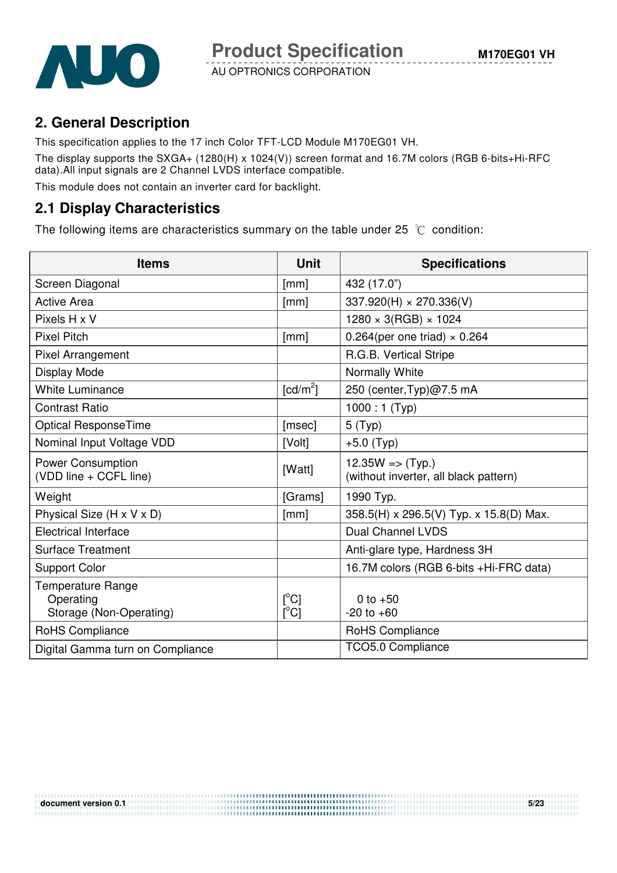

# **2. General Description**

This specification applies to the 17 inch Color TFT-LCD Module M170EG01 VH. The display supports the SXGA+ (1280(H) x 1024(V)) screen format and 16.7M colors (RGB 6-bits+Hi-RFC data).All input signals are 2 Channel LVDS interface compatible.

This module does not contain an inverter card for backlight.

### **2.1 Display Characteristics**

The following items are characteristics summary on the table under 25  $\degree$ C condition:

| <b>Items</b>                                              | <b>Unit</b>                      | <b>Specifications</b>                                                |
|-----------------------------------------------------------|----------------------------------|----------------------------------------------------------------------|
| Screen Diagonal                                           | [mm]                             | 432 (17.0")                                                          |
| <b>Active Area</b>                                        | [mm]                             | $337.920(H) \times 270.336(V)$                                       |
| Pixels H x V                                              |                                  | $1280 \times 3(RGB) \times 1024$                                     |
| <b>Pixel Pitch</b>                                        | [mm]                             | 0.264(per one triad) $\times$ 0.264                                  |
| <b>Pixel Arrangement</b>                                  |                                  | R.G.B. Vertical Stripe                                               |
| Display Mode                                              |                                  | Normally White                                                       |
| <b>White Luminance</b>                                    | [cd/m <sup>2</sup> ]             | 250 (center, Typ)@7.5 mA                                             |
| <b>Contrast Ratio</b>                                     |                                  | $1000:1$ (Typ)                                                       |
| <b>Optical ResponseTime</b>                               | [msec]                           | 5(Typ)                                                               |
| Nominal Input Voltage VDD                                 | [Volt]                           | $+5.0$ (Typ)                                                         |
| <b>Power Consumption</b><br>(VDD line + CCFL line)        | [Watt]                           | $12.35W \Rightarrow (Typ.)$<br>(without inverter, all black pattern) |
| Weight                                                    | [Grams]                          | 1990 Typ.                                                            |
| Physical Size (H x V x D)                                 | [mm]                             | 358.5(H) x 296.5(V) Typ. x 15.8(D) Max.                              |
| <b>Electrical Interface</b>                               |                                  | <b>Dual Channel LVDS</b>                                             |
| <b>Surface Treatment</b>                                  |                                  | Anti-glare type, Hardness 3H                                         |
| <b>Support Color</b>                                      |                                  | 16.7M colors (RGB 6-bits +Hi-FRC data)                               |
| Temperature Range<br>Operating<br>Storage (Non-Operating) | $\lceil{^{\circ}C}\rceil$<br>[C] | 0 to $+50$<br>$-20$ to $+60$                                         |
| RoHS Compliance                                           |                                  | RoHS Compliance                                                      |
| Digital Gamma turn on Compliance                          |                                  | TCO5.0 Compliance                                                    |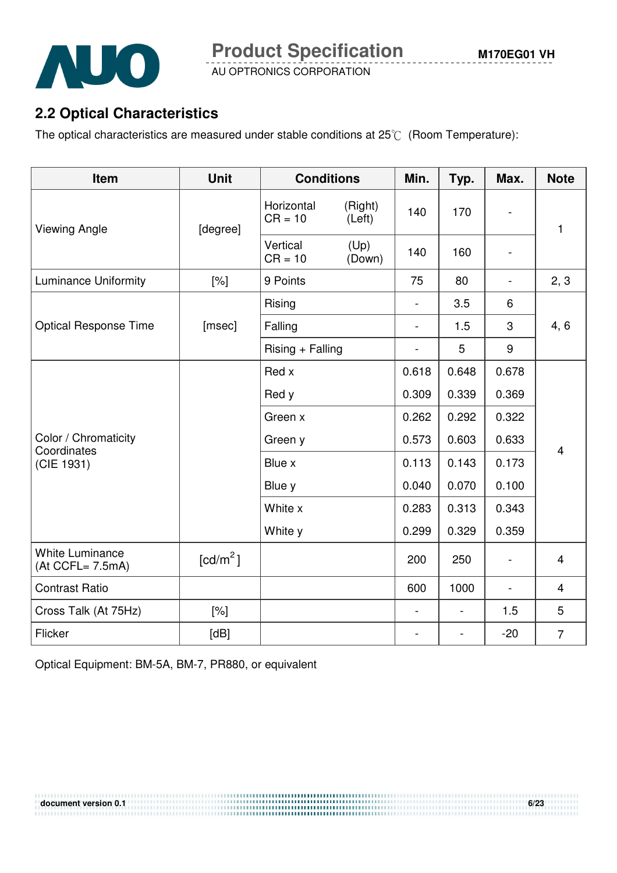

# **2.2 Optical Characteristics**

The optical characteristics are measured under stable conditions at  $25^{\circ}$  (Room Temperature):

| Item                                       | <b>Unit</b>          | <b>Conditions</b>       |                          | Min.                     | Typ.                     | Max.                     | <b>Note</b>    |  |
|--------------------------------------------|----------------------|-------------------------|--------------------------|--------------------------|--------------------------|--------------------------|----------------|--|
| <b>Viewing Angle</b>                       | [degree]             | Horizontal<br>$CR = 10$ | (Right)<br>(Left)        | 140                      | 170                      | $\overline{\phantom{a}}$ | 1              |  |
|                                            |                      | Vertical<br>$CR = 10$   | (Up)<br>(Down)           | 140                      | 160                      | $\overline{\phantom{a}}$ |                |  |
| <b>Luminance Uniformity</b>                | [%]                  | 9 Points                |                          | 75                       | 80                       |                          | 2, 3           |  |
|                                            |                      | Rising                  |                          | $\overline{\phantom{0}}$ | 3.5                      | 6                        |                |  |
| <b>Optical Response Time</b>               | [msec]               | Falling                 |                          | $\overline{\phantom{0}}$ | 1.5                      | 3                        | 4, 6           |  |
|                                            |                      | $Rising + Falling$      | $\overline{\phantom{0}}$ | 5                        | $9\,$                    |                          |                |  |
|                                            | Red x                |                         |                          | 0.618                    | 0.648                    | 0.678                    |                |  |
|                                            |                      | Red y                   |                          | 0.309                    | 0.339                    | 0.369                    |                |  |
|                                            |                      | Green x                 |                          | 0.262                    | 0.292                    | 0.322                    |                |  |
| Color / Chromaticity<br>Coordinates        |                      | Green y                 | 0.573<br>0.603           |                          | 0.633                    | 4                        |                |  |
| (CIE 1931)                                 |                      | Blue x                  |                          | 0.113                    | 0.143                    | 0.173                    |                |  |
|                                            |                      | Blue y                  |                          | 0.040                    | 0.070                    | 0.100                    |                |  |
|                                            |                      | White x                 |                          | 0.283                    | 0.313                    | 0.343                    |                |  |
|                                            |                      | White y                 |                          | 0.299                    | 0.329                    | 0.359                    |                |  |
| <b>White Luminance</b><br>(At CCFL= 7.5mA) | [cd/m <sup>2</sup> ] |                         |                          | 200                      | 250                      | $\overline{\phantom{a}}$ | $\overline{4}$ |  |
| <b>Contrast Ratio</b>                      |                      |                         |                          | 600                      | 1000                     | $\overline{\phantom{a}}$ | $\overline{4}$ |  |
| Cross Talk (At 75Hz)                       | $[\%]$               |                         |                          | $\overline{\phantom{a}}$ | $\overline{\phantom{a}}$ | 1.5                      | 5              |  |
| Flicker                                    | [dB]                 |                         |                          |                          | $\overline{\phantom{a}}$ | $-20$                    | $\overline{7}$ |  |

Optical Equipment: BM-5A, BM-7, PR880, or equivalent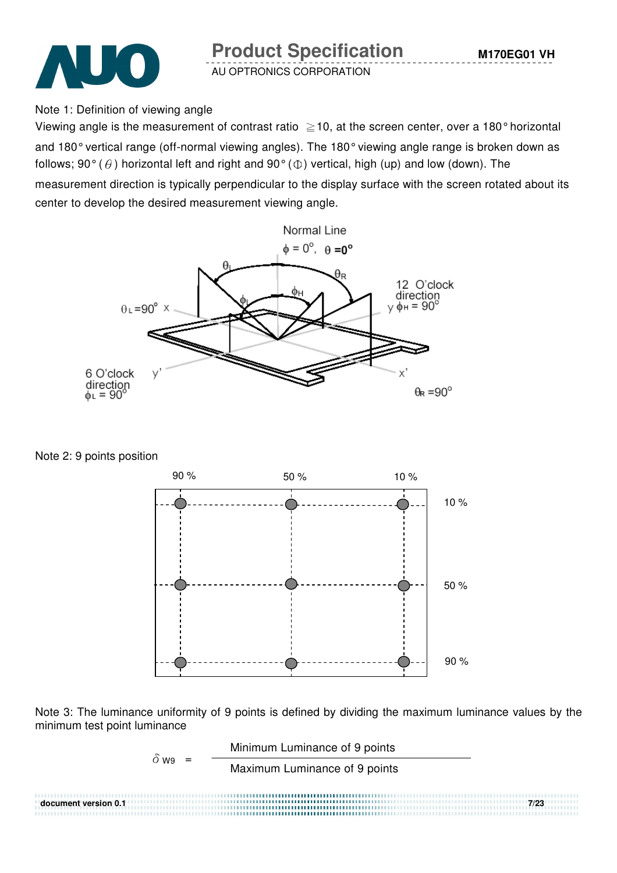



Note 1: Definition of viewing angle

Viewing angle is the measurement of contrast ratio  $\geq$  10, at the screen center, over a 180° horizontal and 180° vertical range (off-normal viewing angles). The 180° viewing angle range is broken down as follows; 90° ( $\theta$ ) horizontal left and right and 90° ( $\Phi$ ) vertical, high (up) and low (down). The

measurement direction is typically perpendicular to the display surface with the screen rotated about its center to develop the desired measurement viewing angle.



Note 2: 9 points position



Note 3: The luminance uniformity of 9 points is defined by dividing the maximum luminance values by the minimum test point luminance

$$
\delta_{W9} = \frac{\text{Minimum Luminance of 9 points}}{\text{Maximum Luminance of 9 points}}
$$
\n
$$
\delta_{W9} = \frac{\text{Maximum Luminance of 9 points}}{7/23}
$$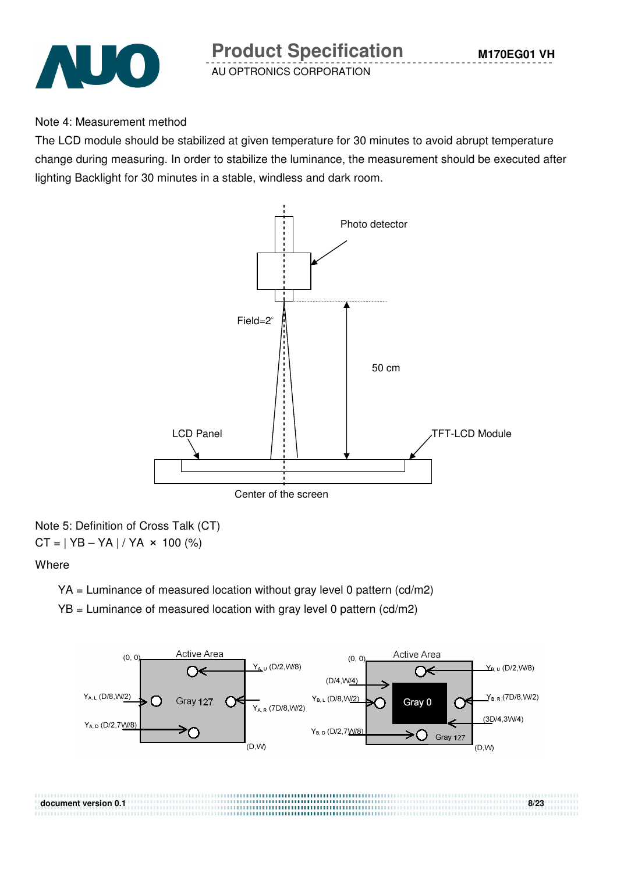

#### Note 4: Measurement method

The LCD module should be stabilized at given temperature for 30 minutes to avoid abrupt temperature change during measuring. In order to stabilize the luminance, the measurement should be executed after lighting Backlight for 30 minutes in a stable, windless and dark room.



#### Note 5: Definition of Cross Talk (CT)  $CT = | YB - YA | / YA \times 100 (%)$

#### **Where**

- YA = Luminance of measured location without gray level 0 pattern (cd/m2)
- YB = Luminance of measured location with gray level 0 pattern (cd/m2)

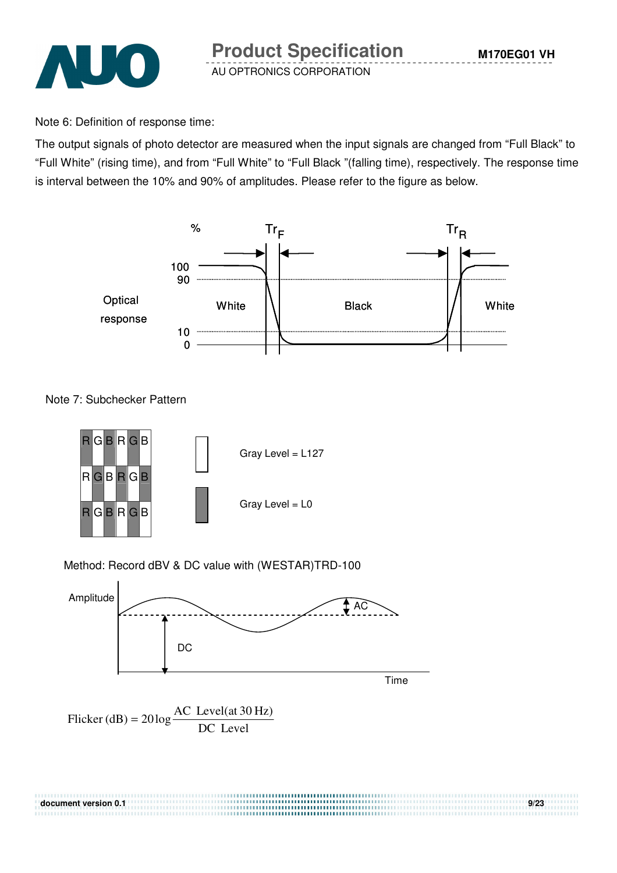

Note 6: Definition of response time:

The output signals of photo detector are measured when the input signals are changed from "Full Black" to "Full White" (rising time), and from "Full White" to "Full Black "(falling time), respectively. The response time is interval between the 10% and 90% of amplitudes. Please refer to the figure as below.



Note 7: Subchecker Pattern



#### Method: Record dBV & DC value with (WESTAR)TRD-100



Flicker (dB) = 
$$
20 \log \frac{AC \text{ Level(at 30 Hz})}{DC \text{ Level}}
$$

| document version 0.1 | 9/23 |
|----------------------|------|
|                      |      |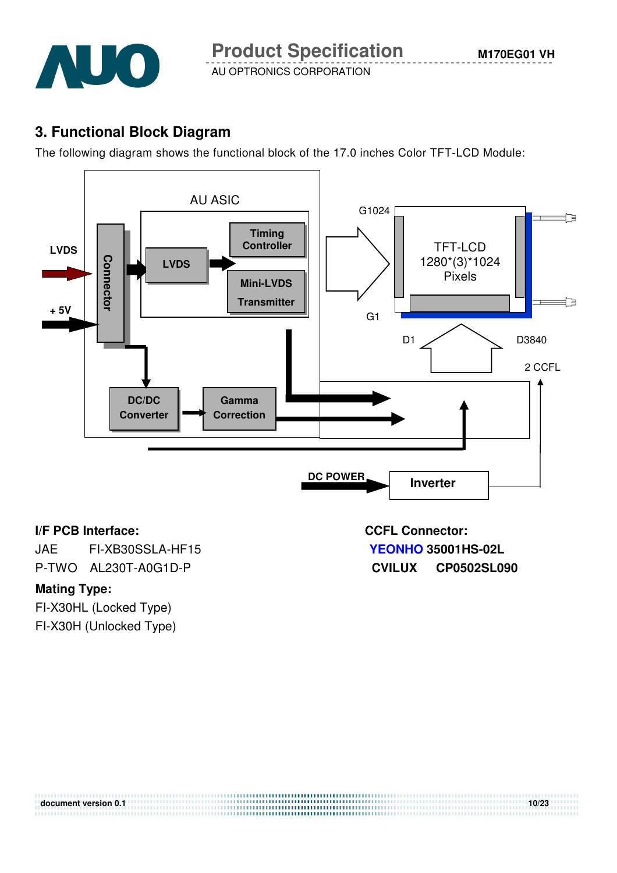

# **3. Functional Block Diagram**

The following diagram shows the functional block of the 17.0 inches Color TFT-LCD Module:



#### **I/F PCB Interface: CCFL Connector:**

JAE FI-XB30SSLA-HF15 **YEONHO 35001HS-02L** P-TWO AL230T-A0G1D-P **CVILUX CP0502SL090**

#### **Mating Type:**

FI-X30HL (Locked Type) FI-X30H (Unlocked Type)

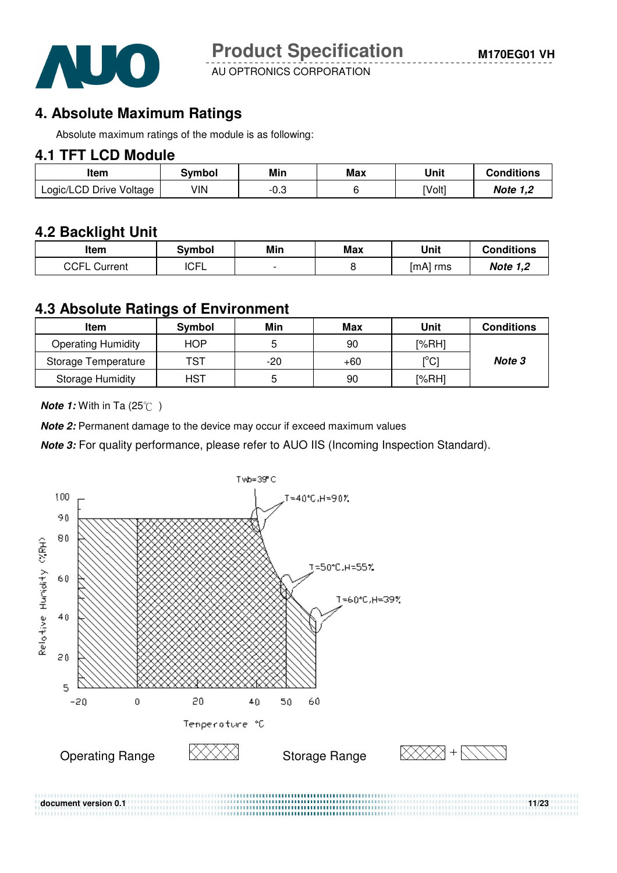

# **4. Absolute Maximum Ratings**

Absolute maximum ratings of the module is as following:

### **4.1 TFT LCD Module**

| ltem                    | 3vmbol | Min  | Max | Unit   | <b>Conditions</b> |
|-------------------------|--------|------|-----|--------|-------------------|
| Logic/LCD Drive Voltage | VIN    | -v.J |     | [Volt] | Note 1,2          |

### **4.2 Backlight Unit**

| ltem            | Svmbol      | Min | Max | Unit     | <b>Conditions</b> |
|-----------------|-------------|-----|-----|----------|-------------------|
| CCFL<br>Current | <b>ICFL</b> |     |     | [mA] rms | <b>Note 1,2</b>   |

#### **4.3 Absolute Ratings of Environment**

| Item                      | Symbol     | Min   | Max   | Unit                         | <b>Conditions</b> |
|---------------------------|------------|-------|-------|------------------------------|-------------------|
| <b>Operating Humidity</b> | HOP.       |       | 90    | [%RH]                        |                   |
| Storage Temperature       | TST        | $-20$ | $+60$ | $\mathsf{I}^\circ\mathsf{C}$ | Note 3            |
| <b>Storage Humidity</b>   | <b>HST</b> | G     | 90    | [%RH]                        |                   |

**Note 1:** With in Ta (25°C)

**Note 2:** Permanent damage to the device may occur if exceed maximum values

**Note 3:** For quality performance, please refer to AUO IIS (Incoming Inspection Standard).

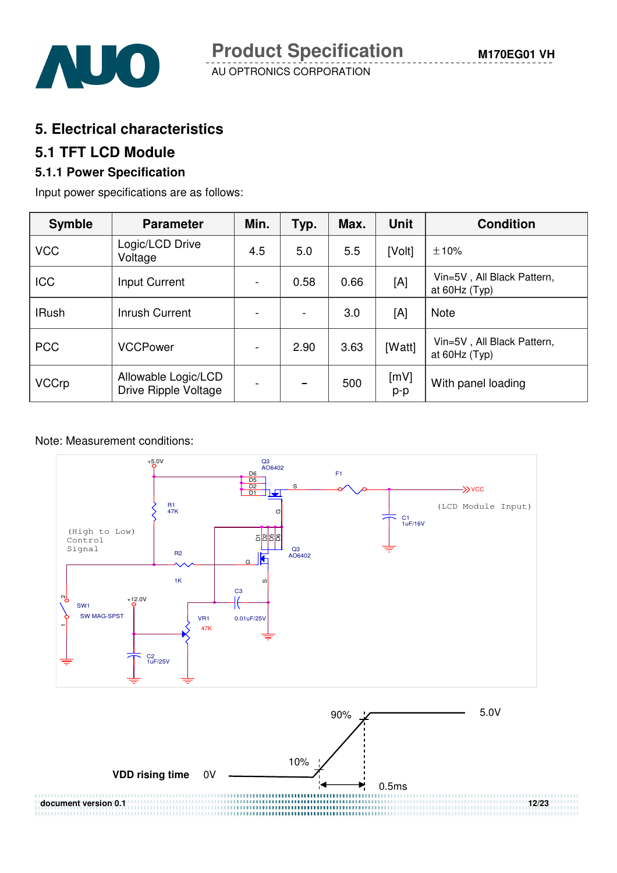

### **5. Electrical characteristics**

### **5.1 TFT LCD Module**

### **5.1.1 Power Specification**

Input power specifications are as follows:

| <b>Symble</b> | <b>Parameter</b>                            | Min.                     | Typ.              | Max. | <b>Unit</b> | <b>Condition</b>                            |
|---------------|---------------------------------------------|--------------------------|-------------------|------|-------------|---------------------------------------------|
| <b>VCC</b>    | Logic/LCD Drive<br>Voltage                  | 4.5                      | 5.0               | 5.5  | [Volt]      | ±10%                                        |
| <b>ICC</b>    | Input Current                               | $\blacksquare$           | 0.58              | 0.66 | [A]         | Vin=5V, All Black Pattern,<br>at 60Hz (Typ) |
| <b>IRush</b>  | Inrush Current                              | $\overline{a}$           |                   | 3.0  | [A]         | <b>Note</b>                                 |
| <b>PCC</b>    | <b>VCCPower</b>                             | $\overline{\phantom{a}}$ | 2.90              | 3.63 | [Watt]      | Vin=5V, All Black Pattern,<br>at 60Hz (Typ) |
| <b>VCCrp</b>  | Allowable Logic/LCD<br>Drive Ripple Voltage |                          | $\hspace{0.05cm}$ | 500  | [mV]<br>p-p | With panel loading                          |

Note: Measurement conditions:

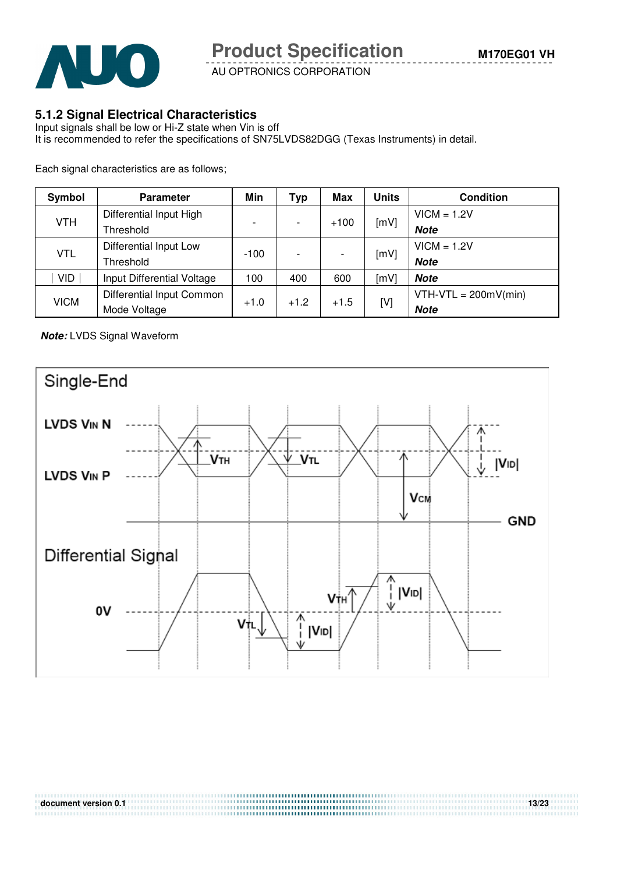

#### **5.1.2 Signal Electrical Characteristics**

Input signals shall be low or Hi-Z state when Vin is off It is recommended to refer the specifications of SN75LVDS82DGG (Texas Instruments) in detail.

Each signal characteristics are as follows;

| Symbol      | <b>Parameter</b>           | Min                      | Typ    | Max    | <b>Units</b> | <b>Condition</b>       |
|-------------|----------------------------|--------------------------|--------|--------|--------------|------------------------|
|             | Differential Input High    |                          |        |        |              | $VICM = 1.2V$          |
| <b>VTH</b>  | Threshold                  | $\overline{\phantom{0}}$ |        | $+100$ | [mV]         | <b>Note</b>            |
| <b>VTL</b>  | Differential Input Low     |                          |        |        | [mV]         | $VICM = 1.2V$          |
|             | Threshold                  | $-100$                   |        |        |              | <b>Note</b>            |
| VID         | Input Differential Voltage | 100                      | 400    | 600    | [mV]         | <b>Note</b>            |
| <b>VICM</b> | Differential Input Common  |                          | $+1.2$ | $+1.5$ | [V]          | $VTH-VTL = 200mV(min)$ |
|             | Mode Voltage               | $+1.0$                   |        |        |              | <b>Note</b>            |

**Note:** LVDS Signal Waveform

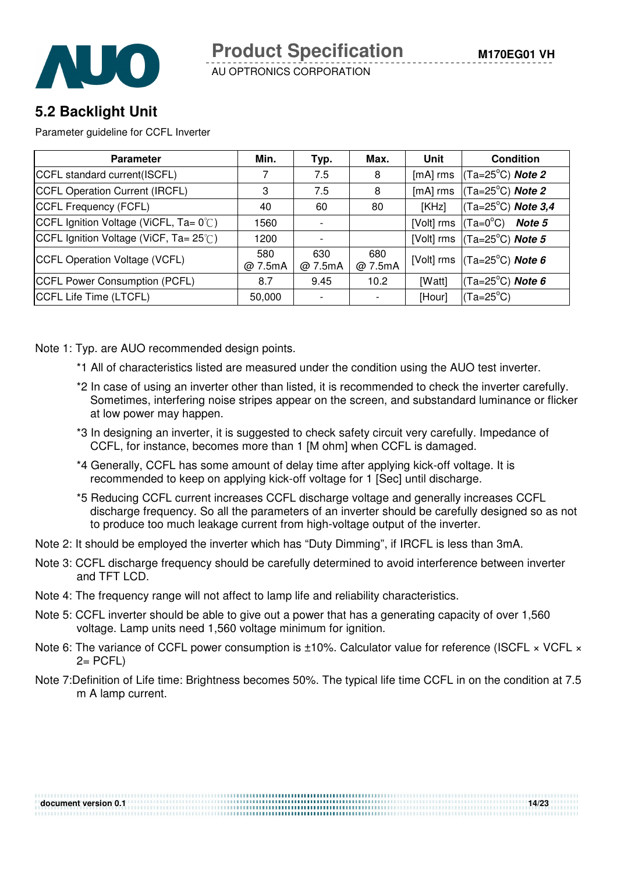

# **5.2 Backlight Unit**

Parameter guideline for CCFL Inverter

| <b>Parameter</b>                      | Min.           | Typ.           | Max.           | Unit       | <b>Condition</b>                                        |
|---------------------------------------|----------------|----------------|----------------|------------|---------------------------------------------------------|
| CCFL standard current(ISCFL)          |                | 7.5            | 8              | $[mA]$ rms | $(Ta=25^{\circ}C)$ Note 2                               |
| CCFL Operation Current (IRCFL)        | 3              | 7.5            | 8              | $[mA]$ rms | $(Ta=25^{\circ}C)$ Note 2                               |
| CCFL Frequency (FCFL)                 | 40             | 60             | 80             | [KHz]      | $(Ta=25^{\circ}C)$ Note 3,4                             |
| CCFL Ignition Voltage (ViCFL, Ta= 0℃) | 1560           |                |                | [Volt] rms | (Ta=0°C)<br><b>Note 5</b>                               |
| CCFL Ignition Voltage (ViCF, Ta= 25℃) | 1200           |                |                |            | [Volt] rms $\vert$ (Ta=25°C) Note 5                     |
| CCFL Operation Voltage (VCFL)         | 580<br>@ 7.5mA | 630<br>@ 7.5mA | 680<br>@ 7.5mA |            | [Volt] rms $\vert$ (Ta=25 <sup>°</sup> C) <b>Note 6</b> |
| CCFL Power Consumption (PCFL)         | 8.7            | 9.45           | 10.2           | [Watt]     | $(Ta=25^{\circ}C)$ Note 6                               |
| CCFL Life Time (LTCFL)                | 50,000         |                |                | [Hour]     | $(Ta=25^{\circ}C)$                                      |

Note 1: Typ. are AUO recommended design points.

- \*1 All of characteristics listed are measured under the condition using the AUO test inverter.
- \*2 In case of using an inverter other than listed, it is recommended to check the inverter carefully. Sometimes, interfering noise stripes appear on the screen, and substandard luminance or flicker at low power may happen.
- \*3 In designing an inverter, it is suggested to check safety circuit very carefully. Impedance of CCFL, for instance, becomes more than 1 [M ohm] when CCFL is damaged.
- \*4 Generally, CCFL has some amount of delay time after applying kick-off voltage. It is recommended to keep on applying kick-off voltage for 1 [Sec] until discharge.
- \*5 Reducing CCFL current increases CCFL discharge voltage and generally increases CCFL discharge frequency. So all the parameters of an inverter should be carefully designed so as not to produce too much leakage current from high-voltage output of the inverter.
- Note 2: It should be employed the inverter which has "Duty Dimming", if IRCFL is less than 3mA.
- Note 3: CCFL discharge frequency should be carefully determined to avoid interference between inverter and TFT LCD.
- Note 4: The frequency range will not affect to lamp life and reliability characteristics.
- Note 5: CCFL inverter should be able to give out a power that has a generating capacity of over 1,560 voltage. Lamp units need 1,560 voltage minimum for ignition.

**document version 0.1** 14/23

- Note 6: The variance of CCFL power consumption is ±10%. Calculator value for reference (ISCFL × VCFL ×  $2=$  PCFL)
- Note 7:Definition of Life time: Brightness becomes 50%. The typical life time CCFL in on the condition at 7.5 m A lamp current.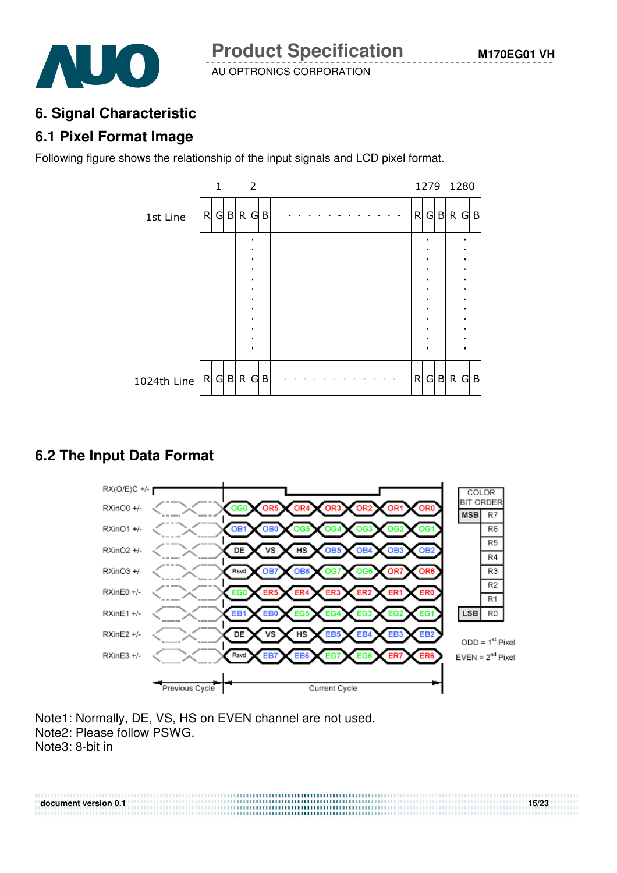

# **6. Signal Characteristic**

# **6.1 Pixel Format Image**

Following figure shows the relationship of the input signals and LCD pixel format.



# **6.2 The Input Data Format**



Note1: Normally, DE, VS, HS on EVEN channel are not used. Note2: Please follow PSWG. Note3: 8-bit in

**document version 0.1** 15/23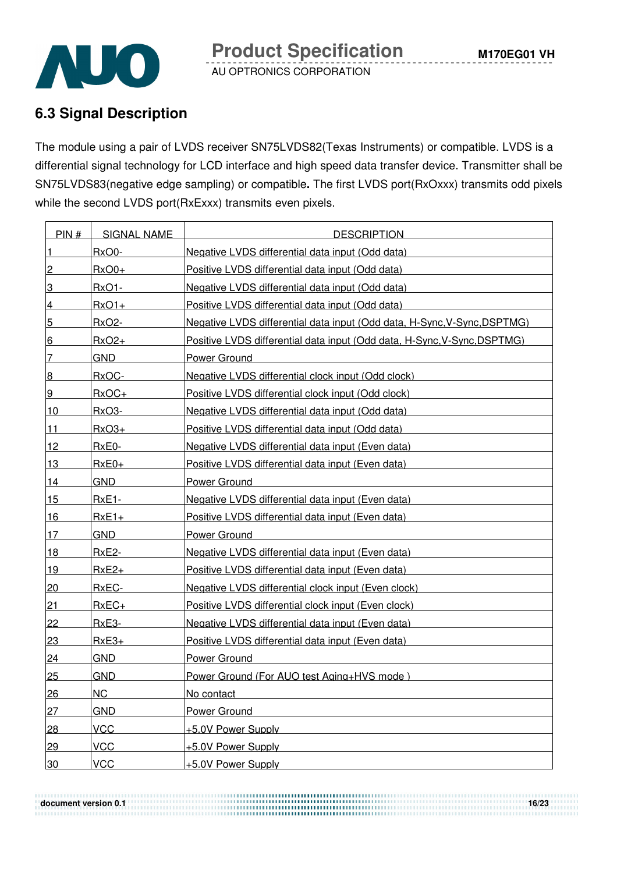

# **6.3 Signal Description**

The module using a pair of LVDS receiver SN75LVDS82(Texas Instruments) or compatible. LVDS is a differential signal technology for LCD interface and high speed data transfer device. Transmitter shall be SN75LVDS83(negative edge sampling) or compatible**.** The first LVDS port(RxOxxx) transmits odd pixels while the second LVDS port(RxExxx) transmits even pixels.

| PIN#            | <b>SIGNAL NAME</b> | <b>DESCRIPTION</b>                                                       |
|-----------------|--------------------|--------------------------------------------------------------------------|
| $\vert$ 1       | RxO0-              | Negative LVDS differential data input (Odd data)                         |
| $\overline{2}$  | $RxO0+$            | Positive LVDS differential data input (Odd data)                         |
| 3               | $RxO1 -$           | Negative LVDS differential data input (Odd data)                         |
| $\overline{4}$  | $RxO1+$            | Positive LVDS differential data input (Odd data)                         |
| $5\overline{)}$ | <b>RxO2-</b>       | Negative LVDS differential data input (Odd data, H-Sync, V-Sync, DSPTMG) |
| $6 \overline{}$ | $RxO2+$            | Positive LVDS differential data input (Odd data, H-Sync, V-Sync, DSPTMG) |
| 7               | <b>GND</b>         | Power Ground                                                             |
| 8               | RxOC-              | Negative LVDS differential clock input (Odd clock)                       |
| 9               | $RxOC+$            | Positive LVDS differential clock input (Odd clock)                       |
| 10              | RxO3-              | Negative LVDS differential data input (Odd data)                         |
| $11$            | $RxO3+$            | Positive LVDS differential data input (Odd data)                         |
| 12              | RxE0-              | Negative LVDS differential data input (Even data)                        |
| 13              | $RxE0+$            | Positive LVDS differential data input (Even data)                        |
| 14              | <b>GND</b>         | <b>Power Ground</b>                                                      |
| 15              | $RxE1-$            | Negative LVDS differential data input (Even data)                        |
| <u>16</u>       | $RxE1+$            | Positive LVDS differential data input (Even data)                        |
| 17              | <b>GND</b>         | Power Ground                                                             |
| 18              | <b>RxE2-</b>       | Negative LVDS differential data input (Even data)                        |
| 19              | $RxE2+$            | Positive LVDS differential data input (Even data)                        |
| 20              | RxEC-              | Negative LVDS differential clock input (Even clock)                      |
| <u>21</u>       | $RxEC+$            | Positive LVDS differential clock input (Even clock)                      |
| 22              | RxE3-              | Negative LVDS differential data input (Even data)                        |
| 23              | $RxE3+$            | Positive LVDS differential data input (Even data)                        |
| 24              | <b>GND</b>         | <b>Power Ground</b>                                                      |
| 25              | <b>GND</b>         | Power Ground (For AUO test Aging+HVS mode)                               |
| 26              | <b>NC</b>          | No contact                                                               |
| 27              | <b>GND</b>         | <b>Power Ground</b>                                                      |
| 28              | <b>VCC</b>         | +5.0V Power Supply                                                       |
| 29              | <b>VCC</b>         | +5.0V Power Supply                                                       |
| 30              | <b>VCC</b>         | +5.0V Power Supply                                                       |

**document version 0.1** 16/23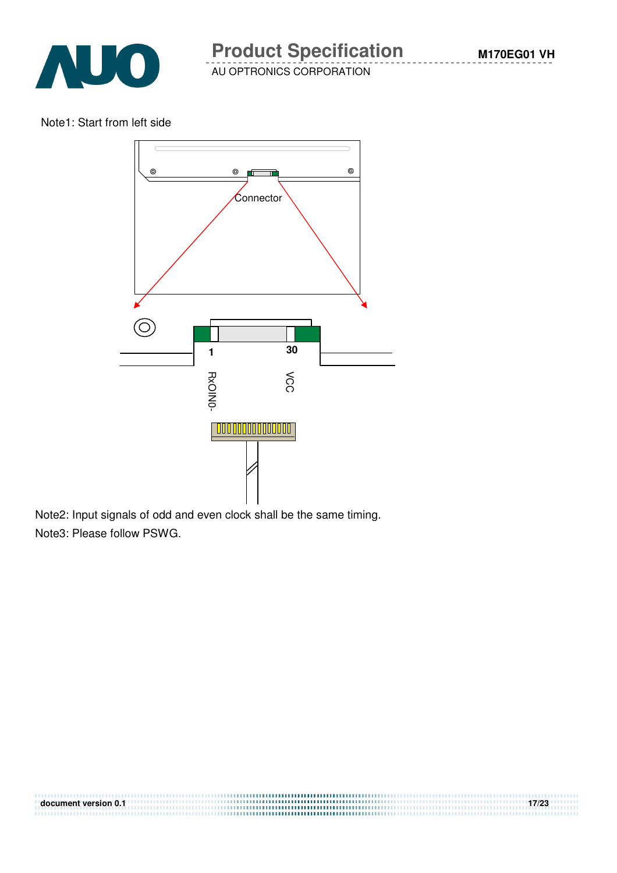

#### Note1: Start from left side



**document version 0.1 17/23** 

Note2: Input signals of odd and even clock shall be the same timing. Note3: Please follow PSWG.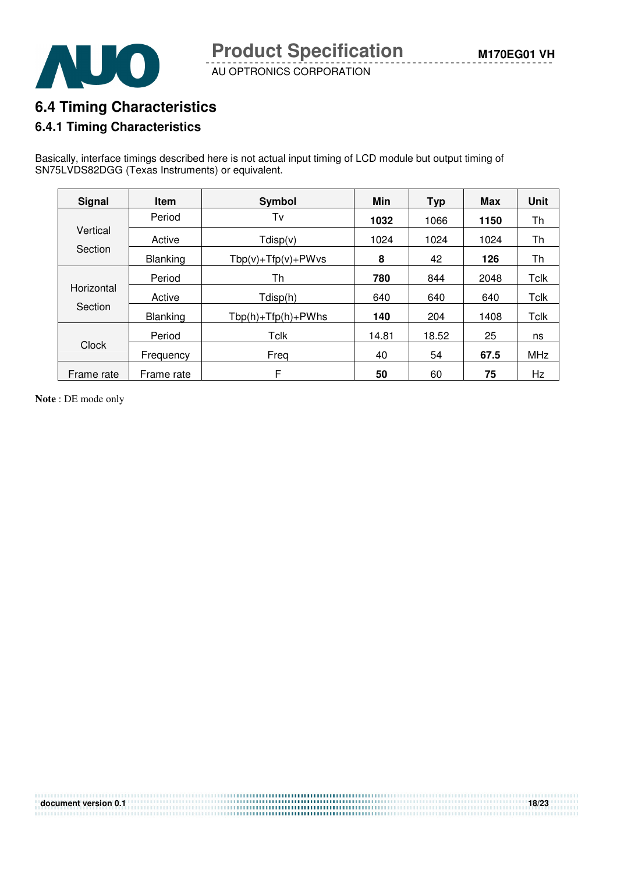

### **6.4 Timing Characteristics**

#### **6.4.1 Timing Characteristics**

Basically, interface timings described here is not actual input timing of LCD module but output timing of SN75LVDS82DGG (Texas Instruments) or equivalent.

| <b>Signal</b> | <b>Item</b> | Symbol                   | Min                                                                                                                                           | <b>Typ</b> | <b>Max</b> | <b>Unit</b> |
|---------------|-------------|--------------------------|-----------------------------------------------------------------------------------------------------------------------------------------------|------------|------------|-------------|
|               | Period      | Tv                       | 1032                                                                                                                                          | 1066       | 1150       | Th          |
| Vertical      | Active      | Tdisp(v)                 | 1024                                                                                                                                          | 1024       | 1024       | Th          |
| Section       | Blanking    | $Tbp(v) + Tfp(v) + PWvs$ | 8<br>42<br>126<br>780<br>844<br>2048<br>640<br>640<br>640<br>140<br>204<br>1408<br>18.52<br>25<br>14.81<br>67.5<br>54<br>40<br>50<br>60<br>75 |            | Th         |             |
| Horizontal    | Period      | Th                       |                                                                                                                                               |            |            | <b>Tclk</b> |
|               | Active      | Tdisp(h)                 |                                                                                                                                               |            |            | <b>Tclk</b> |
| Section       | Blanking    | $Tbp(h) + Tfp(h) + PWhs$ |                                                                                                                                               |            |            | Tclk        |
| Clock         | Period      | Tclk                     |                                                                                                                                               |            |            | ns          |
|               | Frequency   | Freg                     |                                                                                                                                               |            |            | <b>MHz</b>  |
| Frame rate    | Frame rate  | F                        |                                                                                                                                               |            |            | Hz          |

**document version 0.1 18/23** *document version 0.1* 

**Note** : DE mode only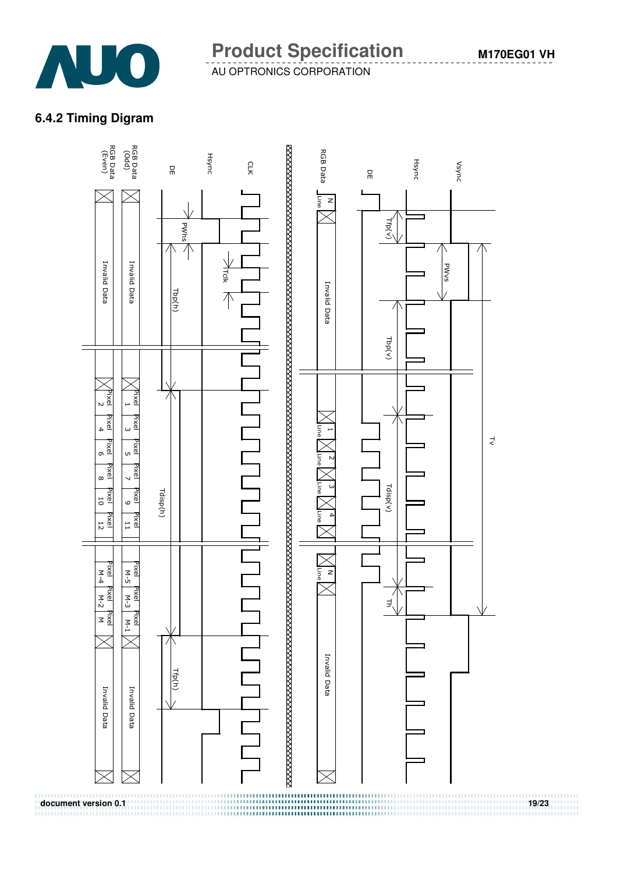

### **6.4.2 Timing Digram**

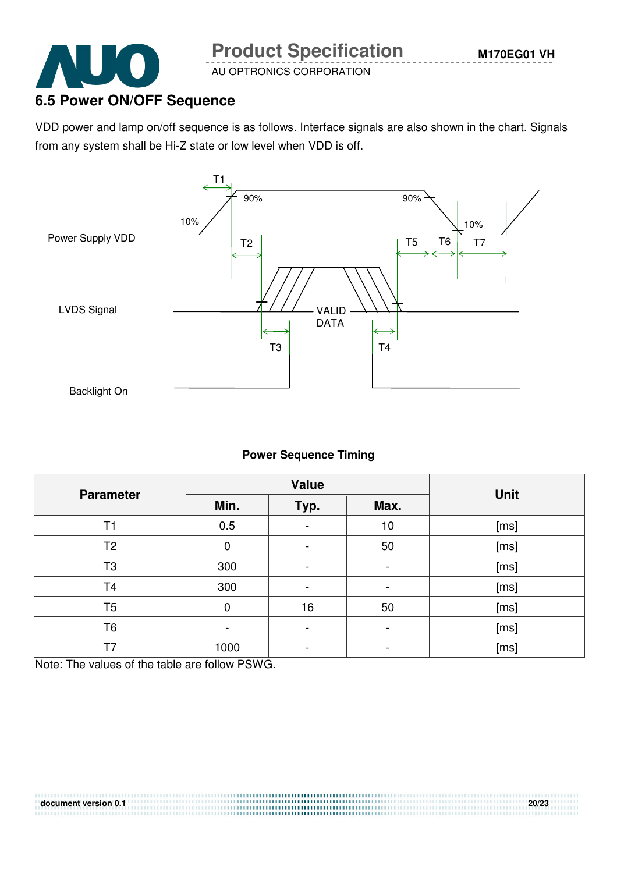

# **6.5 Power ON/OFF Sequence**

VDD power and lamp on/off sequence is as follows. Interface signals are also shown in the chart. Signals from any system shall be Hi-Z state or low level when VDD is off.



#### **Power Sequence Timing**

|                  |             | <b>Value</b>             |                          |             |
|------------------|-------------|--------------------------|--------------------------|-------------|
| <b>Parameter</b> | Min.        | Typ.                     | Max.                     | <b>Unit</b> |
| T1               | 0.5         |                          | 10                       | [ms]        |
| T <sub>2</sub>   | $\mathbf 0$ | $\overline{\phantom{0}}$ | 50                       | [ms]        |
| T <sub>3</sub>   | 300         | $\overline{\phantom{0}}$ | -                        | [ms]        |
| T <sub>4</sub>   | 300         | $\overline{\phantom{0}}$ | $\overline{\phantom{a}}$ | [ms]        |
| T <sub>5</sub>   | 0           | 16                       | 50                       | [ms]        |
| T <sub>6</sub>   |             |                          | -                        | [ms]        |
| T7               | 1000        | $\overline{\phantom{0}}$ | -                        | [ms]        |

Note: The values of the table are follow PSWG.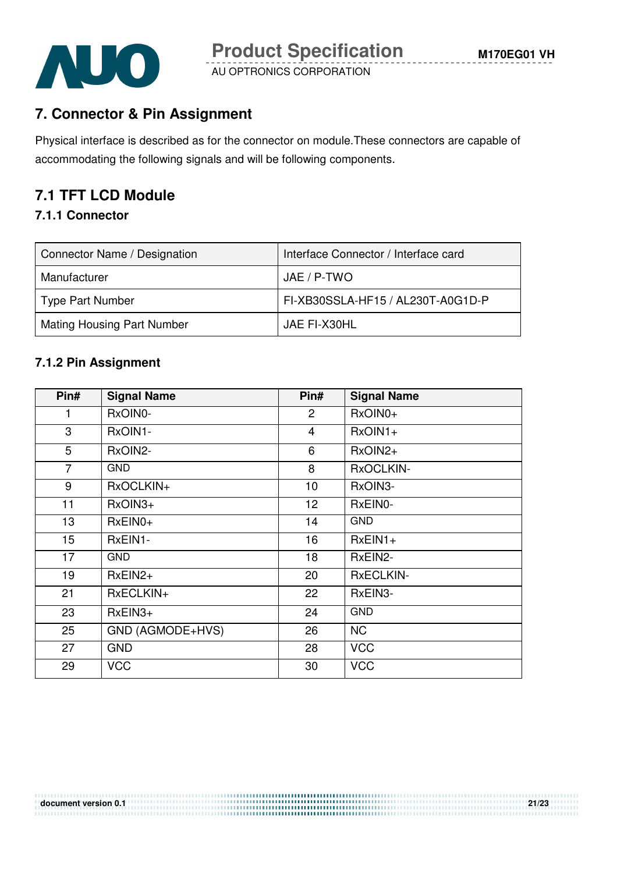

# **7. Connector & Pin Assignment**

Physical interface is described as for the connector on module.These connectors are capable of accommodating the following signals and will be following components.

# **7.1 TFT LCD Module**

#### **7.1.1 Connector**

| Connector Name / Designation | Interface Connector / Interface card |
|------------------------------|--------------------------------------|
| Manufacturer                 | JAE / P-TWO                          |
| Type Part Number             | FI-XB30SSLA-HF15 / AL230T-A0G1D-P    |
| Mating Housing Part Number   | JAE FI-X30HL                         |

#### **7.1.2 Pin Assignment**

| Pin#            | <b>Signal Name</b> | Pin#           | <b>Signal Name</b> |
|-----------------|--------------------|----------------|--------------------|
| 1               | RxOIN0-            | $\overline{2}$ | RxOIN0+            |
| 3               | RxOIN1-            | $\overline{4}$ | $RxOIN1+$          |
| 5               | RxOIN2-            | 6              | RxOIN2+            |
| $\overline{7}$  | <b>GND</b>         | 8              | RxOCLKIN-          |
| 9               | RxOCLKIN+          | 10             | RxOIN3-            |
| 11              | RxOIN3+            | 12             | RxEIN0-            |
| 13              | $RxEINO+$          | 14             | <b>GND</b>         |
| 15 <sub>1</sub> | RxEIN1-            | 16             | $RxEIN1+$          |
| 17              | <b>GND</b>         | 18             | RxEIN2-            |
| 19              | $RxEIN2+$          | 20             | <b>RxECLKIN-</b>   |
| 21              | RxECLKIN+          | 22             | RxEIN3-            |
| 23              | $RxEIN3+$          | 24             | <b>GND</b>         |
| 25              | GND (AGMODE+HVS)   | 26             | <b>NC</b>          |
| 27              | <b>GND</b>         | 28             | <b>VCC</b>         |
| 29              | <b>VCC</b>         | 30             | <b>VCC</b>         |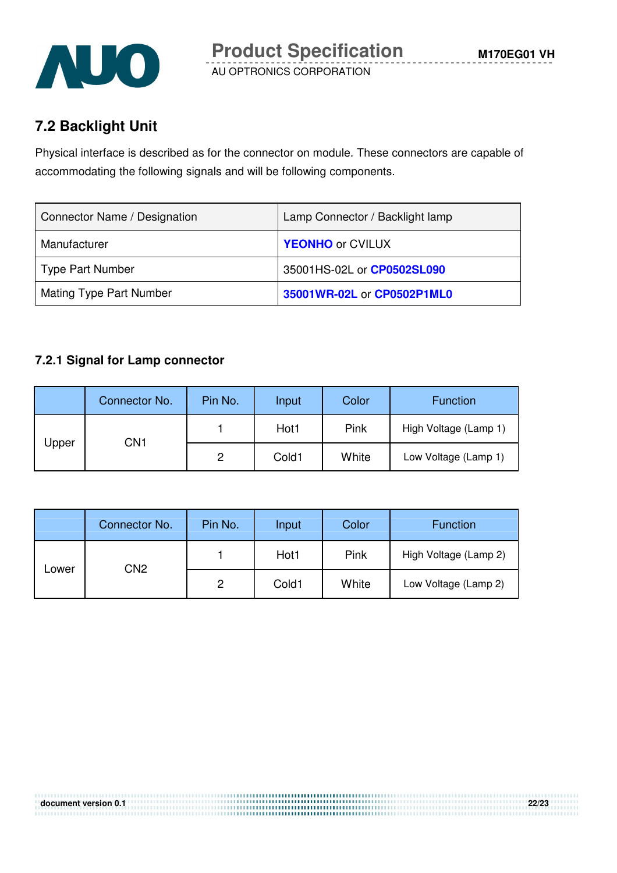

# **7.2 Backlight Unit**

Physical interface is described as for the connector on module. These connectors are capable of accommodating the following signals and will be following components.

| Connector Name / Designation | Lamp Connector / Backlight lamp |
|------------------------------|---------------------------------|
| Manufacturer                 | <b>YEONHO</b> or CVILUX         |
| <b>Type Part Number</b>      | 35001HS-02L or CP0502SL090      |
| Mating Type Part Number      | 35001WR-02L or CP0502P1ML0      |

#### **7.2.1 Signal for Lamp connector**

|       | Connector No. | Pin No. | Input | <b>Color</b> | <b>Function</b>       |
|-------|---------------|---------|-------|--------------|-----------------------|
| Upper | CN1           |         | Hot1  | Pink         | High Voltage (Lamp 1) |
|       |               | 2       | Cold1 | White        | Low Voltage (Lamp 1)  |

|       | Connector No.   | Pin No. | Input | Color | <b>Function</b>       |
|-------|-----------------|---------|-------|-------|-----------------------|
| Lower | CN <sub>2</sub> |         | Hot1  | Pink  | High Voltage (Lamp 2) |
|       |                 | 2       | Cold1 | White | Low Voltage (Lamp 2)  |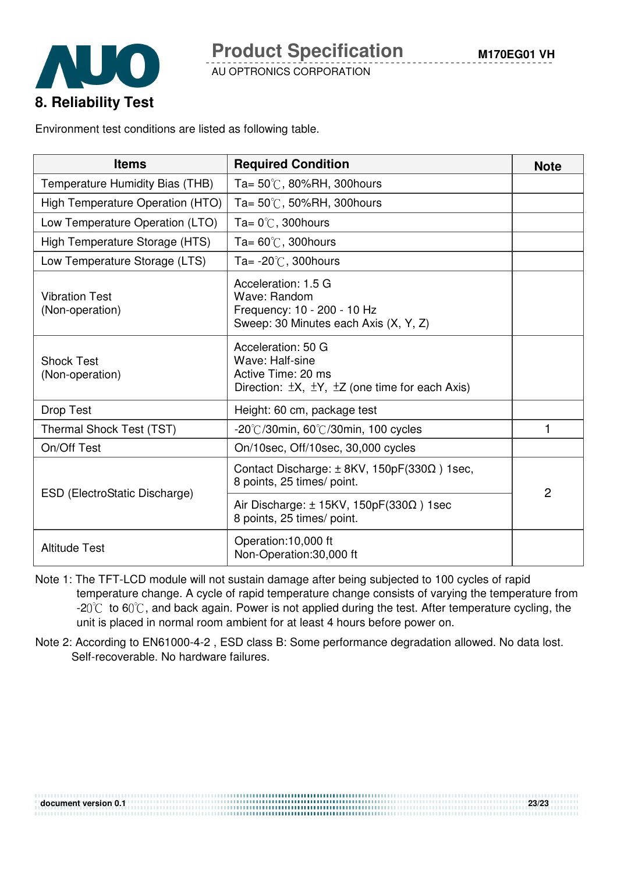



Environment test conditions are listed as following table.

| <b>Items</b>                             | <b>Required Condition</b>                                                                                                      | <b>Note</b> |
|------------------------------------------|--------------------------------------------------------------------------------------------------------------------------------|-------------|
| Temperature Humidity Bias (THB)          | Ta= $50^{\circ}$ C, 80%RH, 300 hours                                                                                           |             |
| High Temperature Operation (HTO)         | Ta= $50^{\circ}$ C, 50%RH, 300 hours                                                                                           |             |
| Low Temperature Operation (LTO)          | Ta= $0^{\circ}$ C, 300 hours                                                                                                   |             |
| High Temperature Storage (HTS)           | Ta= $60^{\circ}$ C, 300 hours                                                                                                  |             |
| Low Temperature Storage (LTS)            | Ta= $-20^{\circ}$ C, 300 hours                                                                                                 |             |
| <b>Vibration Test</b><br>(Non-operation) | Acceleration: 1.5 G<br>Wave: Random<br>Frequency: 10 - 200 - 10 Hz<br>Sweep: 30 Minutes each Axis (X, Y, Z)                    |             |
| <b>Shock Test</b><br>(Non-operation)     | Acceleration: 50 G<br>Wave: Half-sine<br>Active Time: 20 ms<br>Direction: $\pm X$ , $\pm Y$ , $\pm Z$ (one time for each Axis) |             |
| <b>Drop Test</b>                         | Height: 60 cm, package test                                                                                                    |             |
| Thermal Shock Test (TST)                 | $-20^{\circ}$ /30min, 60 $^{\circ}$ /30min, 100 cycles                                                                         | 1           |
| On/Off Test                              | On/10sec, Off/10sec, 30,000 cycles                                                                                             |             |
|                                          | Contact Discharge: $\pm$ 8KV, 150pF(330 $\Omega$ ) 1sec,<br>8 points, 25 times/ point.                                         | 2           |
| ESD (ElectroStatic Discharge)            | Air Discharge: $\pm$ 15KV, 150pF(330 $\Omega$ ) 1sec<br>8 points, 25 times/ point.                                             |             |
| <b>Altitude Test</b>                     | Operation:10,000 ft<br>Non-Operation:30,000 ft                                                                                 |             |

- Note 1: The TFT-LCD module will not sustain damage after being subjected to 100 cycles of rapid temperature change. A cycle of rapid temperature change consists of varying the temperature from  $-20^{\circ}$  to 60 $^{\circ}$ C, and back again. Power is not applied during the test. After temperature cycling, the unit is placed in normal room ambient for at least 4 hours before power on.
- Note 2: According to EN61000-4-2 , ESD class B: Some performance degradation allowed. No data lost. Self-recoverable. No hardware failures.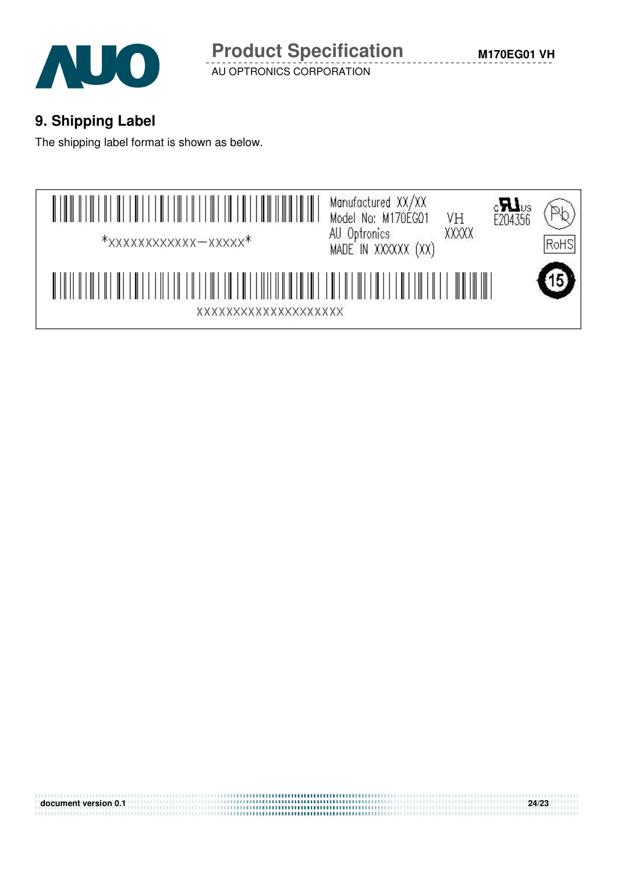

 **M170EG01 VH**

# **9. Shipping Label**

The shipping label format is shown as below.



**document version 0.1 24/23**